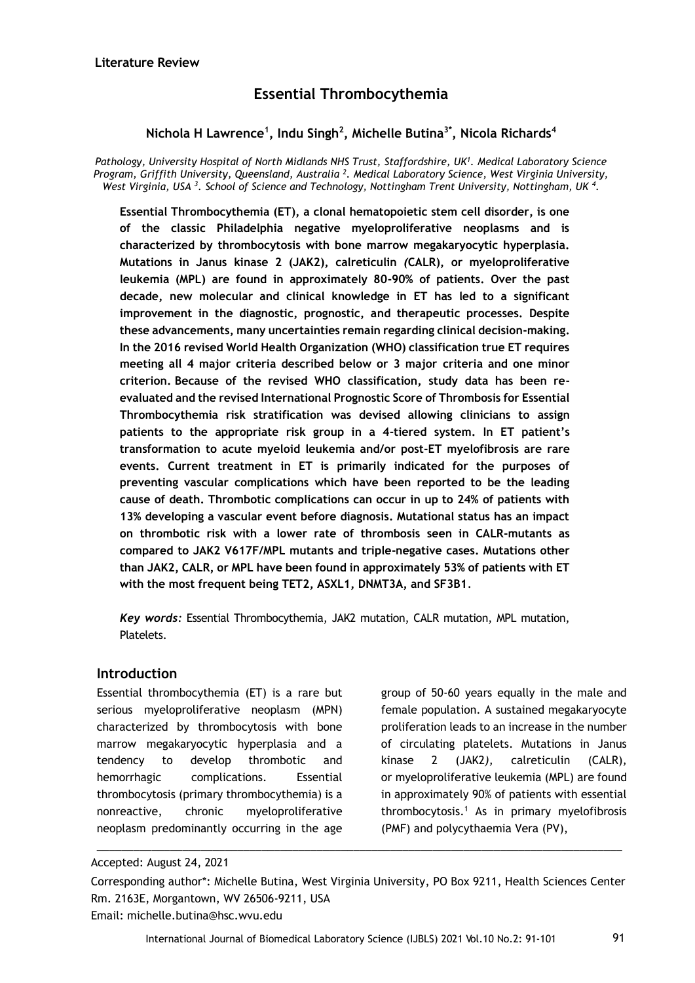# **Essential Thrombocythemia**

# **Nichola H Lawrence<sup>1</sup> , Indu Singh<sup>2</sup> , Michelle Butina3\*, Nicola Richards<sup>4</sup>**

*Pathology, University Hospital of North Midlands NHS Trust, Staffordshire, UK<sup>1</sup> . Medical Laboratory Science Program, Griffith University, Queensland, Australia <sup>2</sup> . Medical Laboratory Science, West Virginia University, West Virginia, USA <sup>3</sup> . School of Science and Technology, Nottingham Trent University, Nottingham, UK <sup>4</sup> .*

**Essential Thrombocythemia (ET), a clonal hematopoietic stem cell disorder, is one of the classic Philadelphia negative myeloproliferative neoplasms and is characterized by thrombocytosis with bone marrow megakaryocytic hyperplasia. Mutations in Janus kinase 2 (JAK2), calreticulin** *(***CALR), or myeloproliferative leukemia (MPL) are found in approximately 80-90% of patients. Over the past decade, new molecular and clinical knowledge in ET has led to a significant improvement in the diagnostic, prognostic, and therapeutic processes. Despite these advancements, many uncertainties remain regarding clinical decision-making. In the 2016 revised World Health Organization (WHO) classification true ET requires meeting all 4 major criteria described below or 3 major criteria and one minor criterion. Because of the revised WHO classification, study data has been reevaluated and the revised International Prognostic Score of Thrombosis for Essential Thrombocythemia risk stratification was devised allowing clinicians to assign patients to the appropriate risk group in a 4-tiered system. In ET patient's transformation to acute myeloid leukemia and/or post-ET myelofibrosis are rare events. Current treatment in ET is primarily indicated for the purposes of preventing vascular complications which have been reported to be the leading cause of death. Thrombotic complications can occur in up to 24% of patients with 13% developing a vascular event before diagnosis. Mutational status has an impact on thrombotic risk with a lower rate of thrombosis seen in CALR-mutants as compared to JAK2 V617F/MPL mutants and triple-negative cases. Mutations other than JAK2, CALR, or MPL have been found in approximately 53% of patients with ET with the most frequent being TET2, ASXL1, DNMT3A, and SF3B1***.*

*Key words:* Essential Thrombocythemia, JAK2 mutation, CALR mutation, MPL mutation, Platelets.

### **Introduction**

Essential thrombocythemia (ET) is a rare but serious myeloproliferative neoplasm (MPN) characterized by thrombocytosis with bone marrow megakaryocytic hyperplasia and a tendency to develop thrombotic and hemorrhagic complications. Essential thrombocytosis (primary thrombocythemia) is a nonreactive, chronic myeloproliferative neoplasm predominantly occurring in the age

group of 50-60 years equally in the male and female population. A sustained megakaryocyte proliferation leads to an increase in the number of circulating platelets. Mutations in Janus kinase 2 (JAK2*),* calreticulin (CALR)*,*  or myeloproliferative leukemia (MPL) are found in approximately 90% of patients with essential thrombocytosis.<sup>1</sup> As in primary myelofibrosis (PMF) and polycythaemia Vera (PV),

\_\_\_\_\_\_\_\_\_\_\_\_\_\_\_\_\_\_\_\_\_\_\_\_\_\_\_\_\_\_\_\_\_\_\_\_\_\_\_\_\_\_\_\_\_\_\_\_\_\_\_\_\_\_\_\_\_\_\_\_\_\_\_\_\_\_\_\_\_\_\_\_\_\_\_\_\_\_\_\_\_\_\_\_\_\_

Accepted: August 24, 2021

Corresponding author\*: Michelle Butina, West Virginia University, PO Box 9211, Health Sciences Center Rm. 2163E, Morgantown, WV 26506-9211, USA Email: michelle.butina@hsc.wvu.edu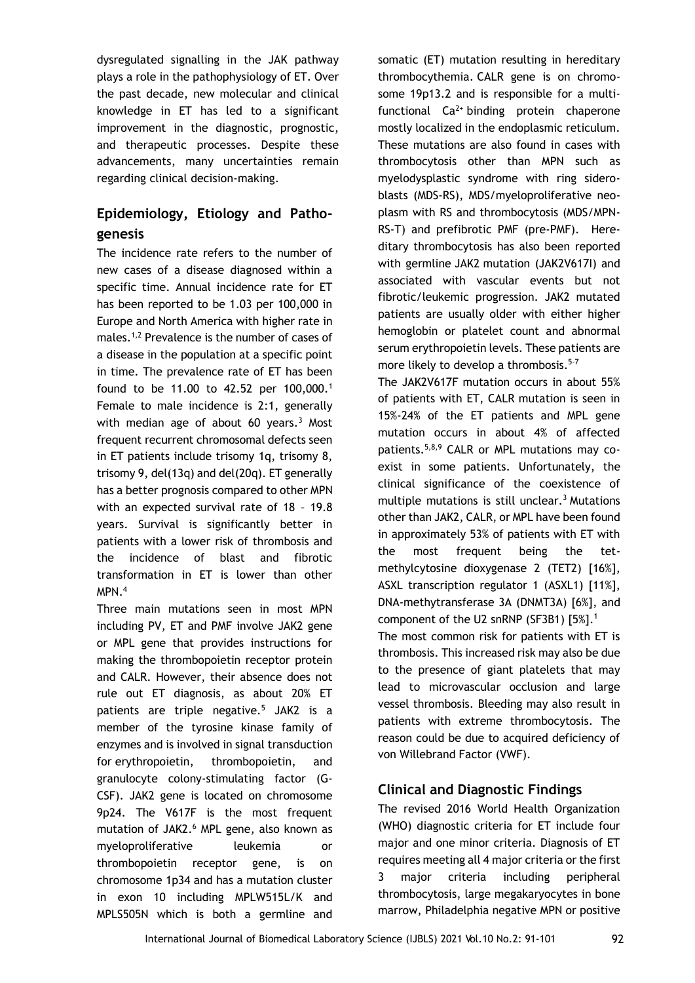dysregulated signalling in the JAK pathway plays a role in the pathophysiology of ET. Over the past decade, new molecular and clinical knowledge in ET has led to a significant improvement in the diagnostic, prognostic, and therapeutic processes. Despite these advancements, many uncertainties remain regarding clinical decision-making.

# **Epidemiology, Etiology and Pathogenesis**

The incidence rate refers to the number of new cases of a disease diagnosed within a specific time. Annual incidence rate for ET has been reported to be 1.03 per 100,000 in Europe and North America with higher rate in males.1,2 Prevalence is the number of cases of a disease in the population at a specific point in time. The prevalence rate of ET has been found to be 11.00 to 42.52 per 100,000.<sup>1</sup> Female to male incidence is 2:1, generally with median age of about 60 years. $3$  Most frequent recurrent chromosomal defects seen in ET patients include trisomy 1q, trisomy 8, trisomy 9, del(13q) and del(20q). ET generally has a better prognosis compared to other MPN with an expected survival rate of 18 – 19.8 years. Survival is significantly better in patients with a lower risk of thrombosis and the incidence of blast and fibrotic transformation in ET is lower than other MPN.<sup>4</sup>

Three main mutations seen in most MPN including PV, ET and PMF involve JAK2 gene or MPL gene that provides instructions for making the thrombopoietin receptor protein and CALR. However, their absence does not rule out ET diagnosis, as about 20% ET patients are triple negative.<sup>5</sup> JAK2 is a member of the tyrosine kinase family of enzymes and is involved in signal transduction for erythropoietin, thrombopoietin, and granulocyte colony-stimulating factor (G-CSF). JAK2 gene is located on chromosome 9p24. The V617F is the most frequent mutation of JAK2.<sup>6</sup> MPL gene, also known as myeloproliferative leukemia or thrombopoietin receptor gene, is on chromosome 1p34 and has a mutation cluster in exon 10 including MPLW515L/K and MPLS505N which is both a germline and

somatic (ET) mutation resulting in hereditary thrombocythemia. CALR gene is on chromosome 19p13.2 and is responsible for a multifunctional  $Ca^{2+}$  binding protein chaperone mostly localized in the endoplasmic reticulum. These mutations are also found in cases with thrombocytosis other than MPN such as myelodysplastic syndrome with ring sideroblasts (MDS-RS), MDS/myeloproliferative neoplasm with RS and thrombocytosis (MDS/MPN-RS-T) and prefibrotic PMF (pre-PMF). Hereditary thrombocytosis has also been reported with germline JAK2 mutation (JAK2V617I) and associated with vascular events but not fibrotic/leukemic progression. JAK2 mutated patients are usually older with either higher hemoglobin or platelet count and abnormal serum erythropoietin levels. These patients are more likely to develop a thrombosis.<sup>5-7</sup>

The JAK2V617F mutation occurs in about 55% of patients with ET, CALR mutation is seen in 15%‐24% of the ET patients and MPL gene mutation occurs in about 4% of affected patients.5,8,9 CALR or MPL mutations may coexist in some patients. Unfortunately, the clinical significance of the coexistence of multiple mutations is still unclear.<sup>3</sup> Mutations other than JAK2, CALR, or MPL have been found in approximately 53% of patients with ET with the most frequent being the tetmethylcytosine dioxygenase 2 (TET2) [16%], ASXL transcription regulator 1 (ASXL1) [11%], DNA-methytransferase 3A (DNMT3A) [6%], and component of the U2 snRNP (SF3B1) [5%].<sup>1</sup>

The most common risk for patients with ET is thrombosis. This increased risk may also be due to the presence of giant platelets that may lead to microvascular occlusion and large vessel thrombosis. Bleeding may also result in patients with extreme thrombocytosis. The reason could be due to acquired deficiency of von Willebrand Factor (VWF).

# **Clinical and Diagnostic Findings**

The revised 2016 World Health Organization (WHO) diagnostic criteria for ET include four major and one minor criteria. Diagnosis of ET requires meeting all 4 major criteria or the first 3 major criteria including peripheral thrombocytosis, large megakaryocytes in bone marrow, Philadelphia negative MPN or positive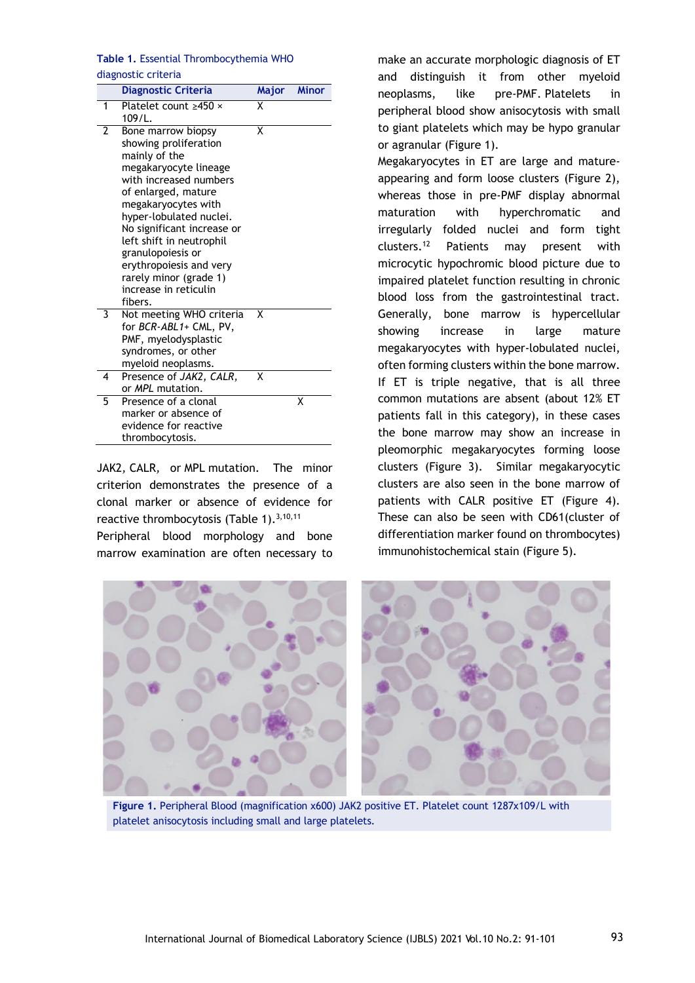### **Table 1.** Essential Thrombocythemia WHO diagnostic criteria

|                | <b>Diagnostic Criteria</b>                                                                                                                                                                                                                                                                                                                                       | Major | <b>Minor</b> |
|----------------|------------------------------------------------------------------------------------------------------------------------------------------------------------------------------------------------------------------------------------------------------------------------------------------------------------------------------------------------------------------|-------|--------------|
| 1              | Platelet count $>450 \times$<br>109/L.                                                                                                                                                                                                                                                                                                                           | Χ     |              |
| $\overline{2}$ | Bone marrow biopsy<br>showing proliferation<br>mainly of the<br>megakaryocyte lineage<br>with increased numbers<br>of enlarged, mature<br>megakaryocytes with<br>hyper-lobulated nuclei.<br>No significant increase or<br>left shift in neutrophil<br>granulopoiesis or<br>erythropoiesis and very<br>rarely minor (grade 1)<br>increase in reticulin<br>fibers. | x     |              |
| 3              | Not meeting WHO criteria<br>for BCR-ABL1+ CML, PV,<br>PMF, myelodysplastic<br>syndromes, or other<br>myeloid neoplasms.                                                                                                                                                                                                                                          | x     |              |
| 4              | Presence of JAK2, CALR,<br>or MPL mutation.                                                                                                                                                                                                                                                                                                                      | x     |              |
| 5              | Presence of a clonal<br>marker or absence of<br>evidence for reactive<br>thrombocytosis.                                                                                                                                                                                                                                                                         |       | Χ            |

JAK2*,* CALR*,* or MPL mutation. The minor criterion demonstrates the presence of a clonal marker or absence of evidence for reactive thrombocytosis (Table 1). $3,10,11$ Peripheral blood morphology and bone marrow examination are often necessary to

make an accurate morphologic diagnosis of ET and distinguish it from other myeloid neoplasms, like pre-PMF. Platelets in peripheral blood show anisocytosis with small to giant platelets which may be hypo granular or agranular (Figure 1).

Megakaryocytes in ET are large and mature‐ appearing and form loose clusters (Figure 2), whereas those in pre-PMF display abnormal maturation with hyperchromatic and irregularly folded nuclei and form tight clusters.<sup>12</sup> Patients may present with microcytic hypochromic blood picture due to impaired platelet function resulting in chronic blood loss from the gastrointestinal tract. Generally, bone marrow is hypercellular showing increase in large mature megakaryocytes with hyper-lobulated nuclei, often forming clusters within the bone marrow. If ET is triple negative, that is all three common mutations are absent (about 12% ET patients fall in this category), in these cases the bone marrow may show an increase in pleomorphic megakaryocytes forming loose clusters (Figure 3). Similar megakaryocytic clusters are also seen in the bone marrow of patients with CALR positive ET (Figure 4). These can also be seen with CD61(cluster of differentiation marker found on thrombocytes) immunohistochemical stain (Figure 5).



**Figure 1.** Peripheral Blood (magnification x600) JAK2 positive ET. Platelet count 1287x109/L with platelet anisocytosis including small and large platelets.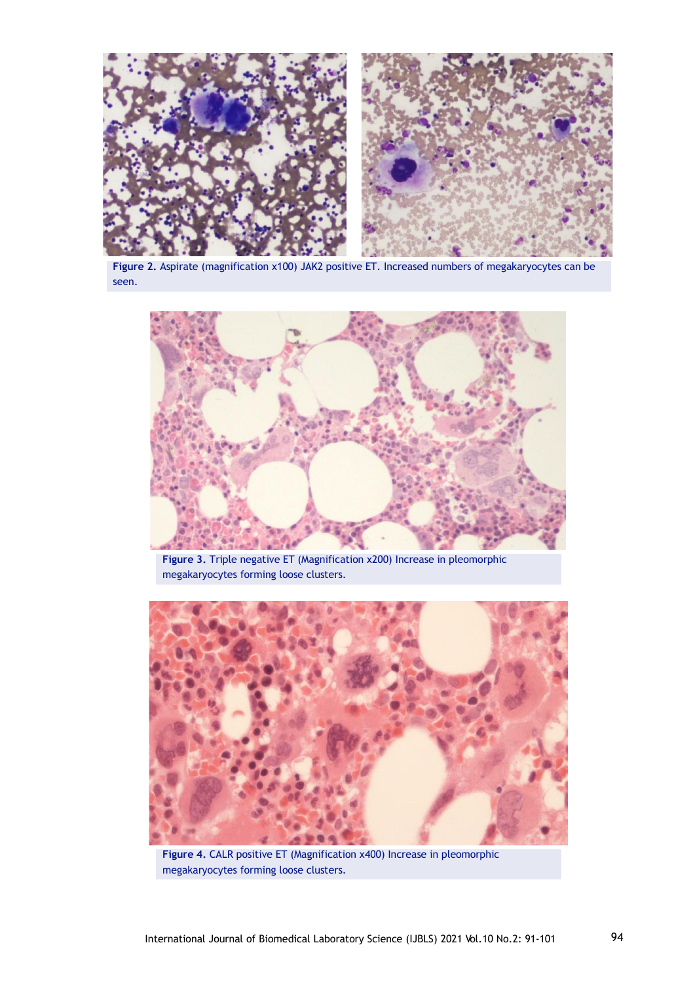

**Figure 2.** Aspirate (magnification x100) JAK2 positive ET. Increased numbers of megakaryocytes can be seen.



**Figure 3.** Triple negative ET (Magnification x200) Increase in pleomorphic megakaryocytes forming loose clusters.



**Figure 4.** CALR positive ET (Magnification x400) Increase in pleomorphic megakaryocytes forming loose clusters.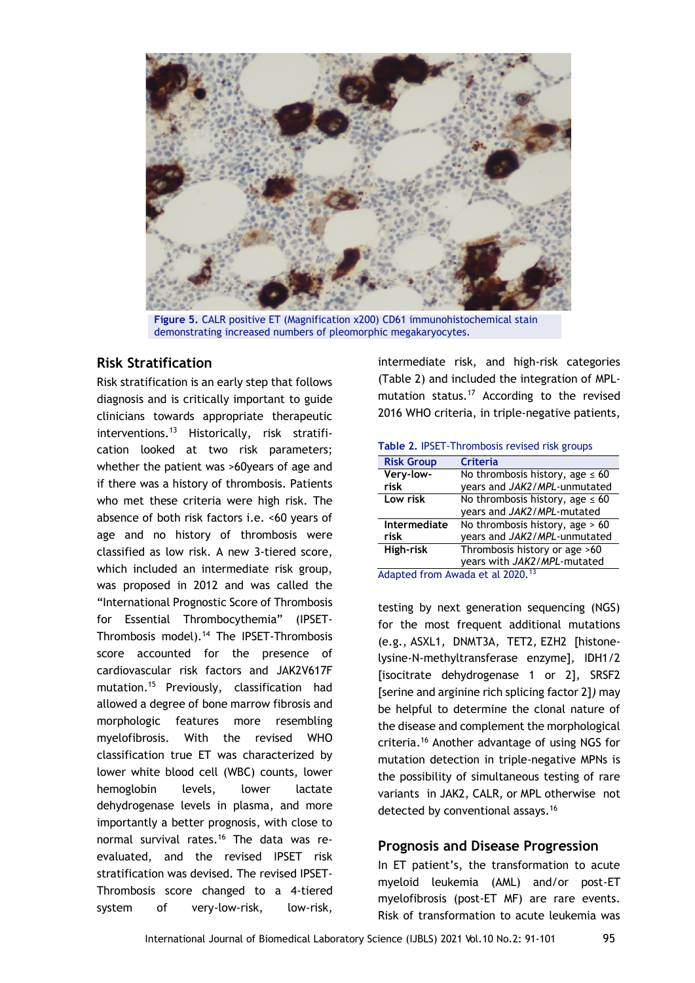

**Figure 5.** CALR positive ET (Magnification x200) CD61 immunohistochemical stain demonstrating increased numbers of pleomorphic megakaryocytes.

### **Risk Stratification**

Risk stratification is an early step that follows diagnosis and is critically important to guide clinicians towards appropriate therapeutic interventions.<sup>13</sup> Historically, risk stratification looked at two risk parameters; whether the patient was >60years of age and if there was a history of thrombosis. Patients who met these criteria were high risk. The absence of both risk factors i.e. <60 years of age and no history of thrombosis were classified as low risk. A new 3-tiered score, which included an intermediate risk group, was proposed in 2012 and was called the "International Prognostic Score of Thrombosis for Essential Thrombocythemia" (IPSET-Thrombosis model).<sup>14</sup> The IPSET-Thrombosis score accounted for the presence of cardiovascular risk factors and JAK2V617F mutation.<sup>15</sup> Previously, classification had allowed a degree of bone marrow fibrosis and morphologic features more resembling myelofibrosis. With the revised WHO classification true ET was characterized by lower white blood cell (WBC) counts, lower hemoglobin levels, lower lactate dehydrogenase levels in plasma, and more importantly a better prognosis, with close to normal survival rates.<sup>16</sup> The data was reevaluated, and the revised IPSET risk stratification was devised. The revised IPSET-Thrombosis score changed to a 4-tiered system of very-low-risk, low-risk,

intermediate risk, and high-risk categories (Table 2) and included the integration of MPLmutation status.<sup>17</sup> According to the revised 2016 WHO criteria, in triple-negative patients,

#### **Table 2.** IPSET-Thrombosis revised risk groups

| <b>Risk Group</b>   | <b>Criteria</b>                      |  |  |
|---------------------|--------------------------------------|--|--|
| Very-low-           | No thrombosis history, age $\leq 60$ |  |  |
| risk                | years and JAK2/MPL-unmutated         |  |  |
| Low risk            | No thrombosis history, age $\leq 60$ |  |  |
|                     | years and JAK2/MPL-mutated           |  |  |
| <b>Intermediate</b> | No thrombosis history, age > 60      |  |  |
| risk                | years and JAK2/MPL-unmutated         |  |  |
| High-risk           | Thrombosis history or age >60        |  |  |
|                     | years with JAK2/MPL-mutated          |  |  |
|                     | Adopted from Augde at al 2020 13     |  |  |

Adapted from Awada et al 2020.<sup>13</sup>

testing by next generation sequencing (NGS) for the most frequent additional mutations (e.g., ASXL1*,* DNMT3A*,* TET2*,* EZH2 [histonelysine-N-methyltransferase enzyme]*,* IDH1/2 [isocitrate dehydrogenase 1 or 2]*,* SRSF2 [serine and arginine rich splicing factor 2]*)* may be helpful to determine the clonal nature of the disease and complement the morphological criteria.<sup>16</sup> Another advantage of using NGS for mutation detection in triple-negative MPNs is the possibility of simultaneous testing of rare variants in JAK2*,* CALR, or MPL otherwise not detected by conventional assays.<sup>16</sup>

### **Prognosis and Disease Progression**

In ET patient's, the transformation to acute myeloid leukemia (AML) and/or post-ET myelofibrosis (post-ET MF) are rare events. Risk of transformation to acute leukemia was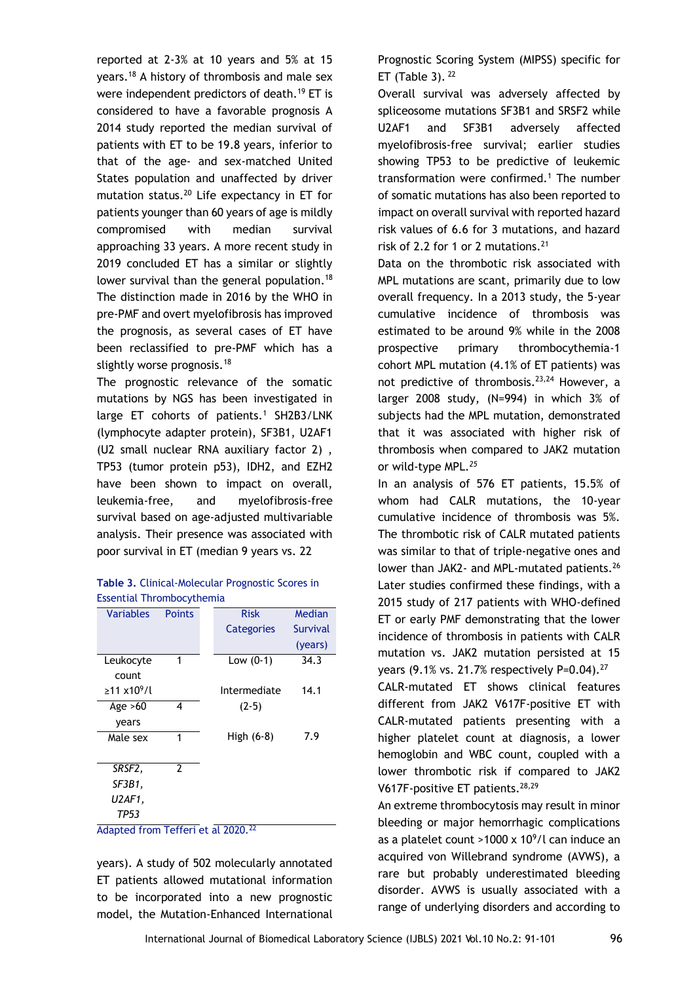reported at 2-3% at 10 years and 5% at 15 years.<sup>18</sup> A history of thrombosis and male sex were independent predictors of death.<sup>19</sup> ET is considered to have a favorable prognosis A 2014 study reported the median survival of patients with ET to be 19.8 years, inferior to that of the age- and sex-matched United States population and unaffected by driver mutation status.<sup>20</sup> Life expectancy in ET for patients younger than 60 years of age is mildly compromised with median survival approaching 33 years. A more recent study in 2019 concluded ET has a similar or slightly lower survival than the general population.<sup>18</sup> The distinction made in 2016 by the WHO in pre-PMF and overt myelofibrosis has improved the prognosis, as several cases of ET have been reclassified to pre-PMF which has a slightly worse prognosis.<sup>18</sup>

The prognostic relevance of the somatic mutations by NGS has been investigated in large ET cohorts of patients.<sup>1</sup> SH2B3/LNK (lymphocyte adapter protein), SF3B1, U2AF1 (U2 small nuclear RNA auxiliary factor 2) , TP53 (tumor protein p53), IDH2, and EZH2 have been shown to impact on overall, leukemia-free, and myelofibrosis-free survival based on age-adjusted multivariable analysis. Their presence was associated with poor survival in ET (median 9 years vs. 22

| Table 3. Clinical-Molecular Prognostic Scores in |
|--------------------------------------------------|
| Essential Thrombocythemia                        |

| <b>Points</b> | <b>Risk</b>  | Median   |
|---------------|--------------|----------|
|               |              |          |
|               | Categories   | Survival |
|               |              | (years)  |
| 1             | Low $(0-1)$  | 34.3     |
|               |              |          |
|               | Intermediate | 14.1     |
| 4             | $(2-5)$      |          |
|               |              |          |
| 1             | High (6-8)   | 7.9      |
|               |              |          |
| 2             |              |          |
|               |              |          |
|               |              |          |
|               |              |          |
|               |              |          |

Adapted from Tefferi et al 2020.<sup>22</sup>

years). A study of 502 molecularly annotated ET patients allowed mutational information to be incorporated into a new prognostic model, the Mutation-Enhanced International Prognostic Scoring System (MIPSS) specific for ET (Table 3).  $22$ 

Overall survival was adversely affected by spliceosome mutations SF3B1 and SRSF2 while U2AF1 and SF3B1 adversely affected myelofibrosis-free survival; earlier studies showing TP53 to be predictive of leukemic transformation were confirmed. $1$  The number of somatic mutations has also been reported to impact on overall survival with reported hazard risk values of 6.6 for 3 mutations, and hazard risk of 2.2 for 1 or 2 mutations.<sup>21</sup>

Data on the thrombotic risk associated with MPL mutations are scant, primarily due to low overall frequency. In a 2013 study, the 5-year cumulative incidence of thrombosis was estimated to be around 9% while in the 2008 prospective primary thrombocythemia-1 cohort MPL mutation (4.1% of ET patients) was not predictive of thrombosis.<sup>23,24</sup> However, a larger 2008 study, (N=994) in which 3% of subjects had the MPL mutation, demonstrated that it was associated with higher risk of thrombosis when compared to JAK2 mutation or wild-type MPL*. 25*

In an analysis of 576 ET patients, 15.5% of whom had CALR mutations, the 10-year cumulative incidence of thrombosis was 5%. The thrombotic risk of CALR mutated patients was similar to that of triple-negative ones and lower than JAK2- and MPL-mutated patients.<sup>26</sup> Later studies confirmed these findings, with a 2015 study of 217 patients with WHO-defined ET or early PMF demonstrating that the lower incidence of thrombosis in patients with CALR mutation vs. JAK2 mutation persisted at 15 years (9.1% vs. 21.7% respectively P=0.04).<sup>27</sup>

CALR-mutated ET shows clinical features different from JAK2 V617F-positive ET with CALR-mutated patients presenting with a higher platelet count at diagnosis, a lower hemoglobin and WBC count, coupled with a lower thrombotic risk if compared to JAK2 V617F-positive ET patients.<sup>28,29</sup>

An extreme thrombocytosis may result in minor bleeding or major hemorrhagic complications as a platelet count >1000 x  $10^9$ /l can induce an acquired von Willebrand syndrome (AVWS), a rare but probably underestimated bleeding disorder. AVWS is usually associated with a range of underlying disorders and according to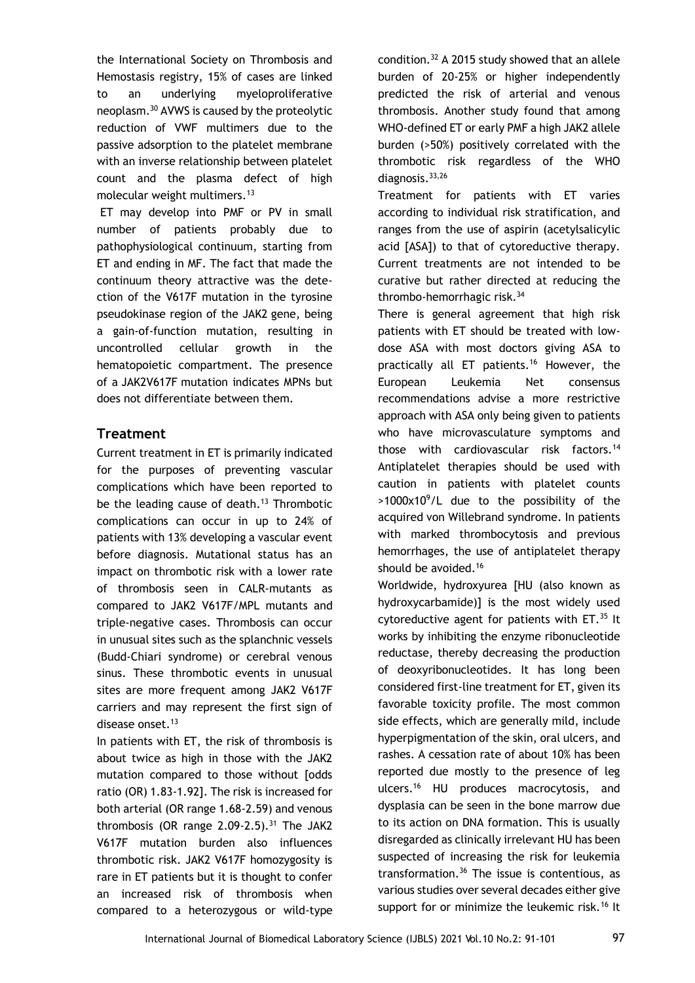the International Society on Thrombosis and Hemostasis registry, 15% of cases are linked to an underlying myeloproliferative neoplasm.<sup>30</sup> AVWS is caused by the proteolytic reduction of VWF multimers due to the passive adsorption to the platelet membrane with an inverse relationship between platelet count and the plasma defect of high molecular weight multimers.<sup>13</sup>

ET may develop into PMF or PV in small number of patients probably due to pathophysiological continuum, starting from ET and ending in MF. The fact that made the continuum theory attractive was the detection of the V617F mutation in the tyrosine pseudokinase region of the JAK2 gene, being a gain-of-function mutation, resulting in uncontrolled cellular growth in the hematopoietic compartment. The presence of a JAK2V617F mutation indicates MPNs but does not differentiate between them.

## **Treatment**

Current treatment in ET is primarily indicated for the purposes of preventing vascular complications which have been reported to be the leading cause of death.<sup>13</sup> Thrombotic complications can occur in up to 24% of patients with 13% developing a vascular event before diagnosis. Mutational status has an impact on thrombotic risk with a lower rate of thrombosis seen in CALR-mutants as compared to JAK2 V617F/MPL mutants and triple-negative cases. Thrombosis can occur in unusual sites such as the splanchnic vessels (Budd-Chiari syndrome) or cerebral venous sinus. These thrombotic events in unusual sites are more frequent among JAK2 V617F carriers and may represent the first sign of disease onset.<sup>13</sup>

In patients with ET, the risk of thrombosis is about twice as high in those with the JAK2 mutation compared to those without [odds ratio (OR) 1.83-1.92]. The risk is increased for both arterial (OR range 1.68-2.59) and venous thrombosis (OR range  $2.09-2.5$ ).<sup>31</sup> The JAK2 V617F mutation burden also influences thrombotic risk. JAK2 V617F homozygosity is rare in ET patients but it is thought to confer an increased risk of thrombosis when compared to a heterozygous or wild-type

condition.<sup>32</sup> A 2015 study showed that an allele burden of 20-25% or higher independently predicted the risk of arterial and venous thrombosis. Another study found that among WHO-defined ET or early PMF a high JAK2 allele burden (>50%) positively correlated with the thrombotic risk regardless of the WHO diagnosis.33,26

Treatment for patients with ET varies according to individual risk stratification, and ranges from the use of aspirin (acetylsalicylic acid [ASA]) to that of cytoreductive therapy. Current treatments are not intended to be curative but rather directed at reducing the thrombo-hemorrhagic risk.<sup>34</sup>

There is general agreement that high risk patients with ET should be treated with lowdose ASA with most doctors giving ASA to practically all ET patients.<sup>16</sup> However, the European Leukemia Net consensus recommendations advise a more restrictive approach with ASA only being given to patients who have microvasculature symptoms and those with cardiovascular risk factors.<sup>14</sup> Antiplatelet therapies should be used with caution in patients with platelet counts  $>1000x10^9$ /L due to the possibility of the acquired von Willebrand syndrome. In patients with marked thrombocytosis and previous hemorrhages, the use of antiplatelet therapy should be avoided.<sup>16</sup>

Worldwide, hydroxyurea [HU (also known as hydroxycarbamide)] is the most widely used cytoreductive agent for patients with ET.<sup>35</sup> It works by inhibiting the enzyme ribonucleotide reductase, thereby decreasing the production of deoxyribonucleotides. It has long been considered first-line treatment for ET, given its favorable toxicity profile. The most common side effects, which are generally mild, include hyperpigmentation of the skin, oral ulcers, and rashes. A cessation rate of about 10% has been reported due mostly to the presence of leg ulcers.<sup>16</sup> HU produces macrocytosis, and dysplasia can be seen in the bone marrow due to its action on DNA formation. This is usually disregarded as clinically irrelevant HU has been suspected of increasing the risk for leukemia transformation.<sup>36</sup> The issue is contentious, as various studies over several decades either give support for or minimize the leukemic risk.<sup>16</sup> It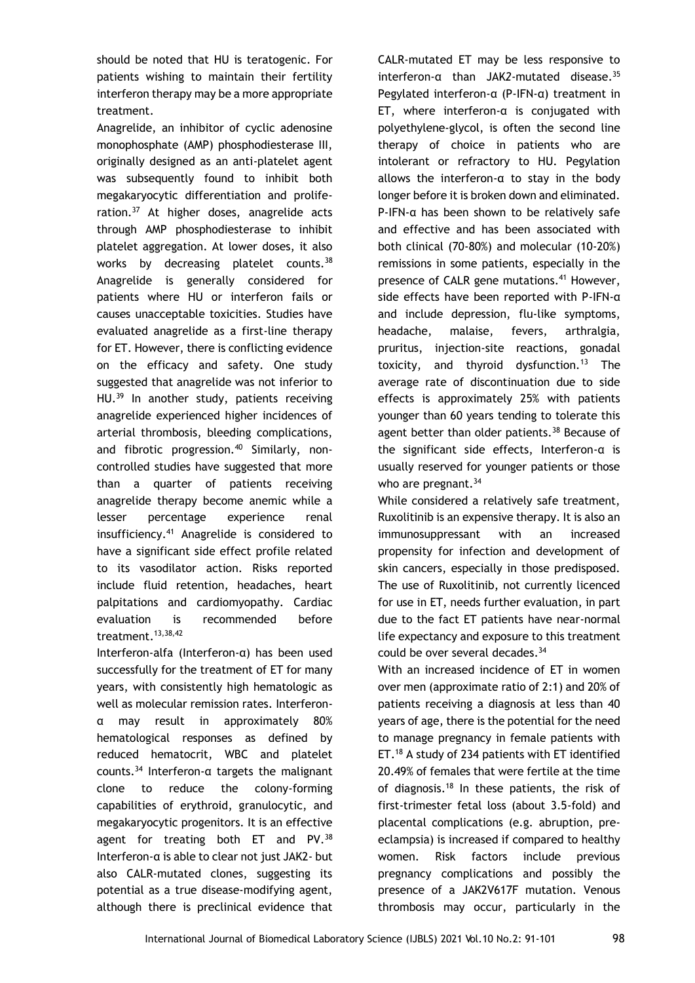should be noted that HU is teratogenic. For patients wishing to maintain their fertility interferon therapy may be a more appropriate treatment.

Anagrelide, an inhibitor of cyclic adenosine monophosphate (AMP) phosphodiesterase III, originally designed as an anti-platelet agent was subsequently found to inhibit both megakaryocytic differentiation and proliferation.<sup>37</sup> At higher doses, anagrelide acts through AMP phosphodiesterase to inhibit platelet aggregation. At lower doses, it also works by decreasing platelet counts.<sup>38</sup> Anagrelide is generally considered for patients where HU or interferon fails or causes unacceptable toxicities. Studies have evaluated anagrelide as a first-line therapy for ET. However, there is conflicting evidence on the efficacy and safety. One study suggested that anagrelide was not inferior to HU.<sup>39</sup> In another study, patients receiving anagrelide experienced higher incidences of arterial thrombosis, bleeding complications, and fibrotic progression.<sup>40</sup> Similarly, noncontrolled studies have suggested that more than a quarter of patients receiving anagrelide therapy become anemic while a lesser percentage experience renal insufficiency.<sup>41</sup> Anagrelide is considered to have a significant side effect profile related to its vasodilator action. Risks reported include fluid retention, headaches, heart palpitations and cardiomyopathy. Cardiac evaluation is recommended before treatment. $13,38,42$ 

Interferon-alfa (Interferon-α) has been used successfully for the treatment of ET for many years, with consistently high hematologic as well as molecular remission rates. Interferonα may result in approximately 80% hematological responses as defined by reduced hematocrit, WBC and platelet counts.<sup>34</sup> Interferon-α targets the malignant clone to reduce the colony-forming capabilities of erythroid, granulocytic, and megakaryocytic progenitors. It is an effective agent for treating both ET and PV.<sup>38</sup> Interferon-α is able to clear not just JAK2- but also CALR-mutated clones, suggesting its potential as a true disease-modifying agent, although there is preclinical evidence that CALR*-*mutated ET may be less responsive to interferon-α than JAK*2-*mutated disease.<sup>35</sup> Pegylated interferon-α (P-IFN-α) treatment in ET, where interferon-α is conjugated with polyethylene-glycol, is often the second line therapy of choice in patients who are intolerant or refractory to HU. Pegylation allows the interferon-α to stay in the body longer before it is broken down and eliminated. P-IFN-α has been shown to be relatively safe and effective and has been associated with both clinical (70-80%) and molecular (10-20%) remissions in some patients, especially in the presence of CALR gene mutations.<sup>41</sup> However, side effects have been reported with P-IFN-α and include depression, flu-like symptoms, headache, malaise, fevers, arthralgia, pruritus, injection-site reactions, gonadal toxicity, and thyroid dysfunction.<sup>13</sup> The average rate of discontinuation due to side effects is approximately 25% with patients younger than 60 years tending to tolerate this agent better than older patients.<sup>38</sup> Because of the significant side effects, Interferon-α is usually reserved for younger patients or those who are pregnant. $34$ 

While considered a relatively safe treatment, Ruxolitinib is an expensive therapy. It is also an immunosuppressant with an increased propensity for infection and development of skin cancers, especially in those predisposed. The use of Ruxolitinib, not currently licenced for use in ET, needs further evaluation, in part due to the fact ET patients have near-normal life expectancy and exposure to this treatment could be over several decades.<sup>34</sup>

With an increased incidence of ET in women over men (approximate ratio of 2:1) and 20% of patients receiving a diagnosis at less than 40 years of age, there is the potential for the need to manage pregnancy in female patients with ET.<sup>18</sup> A study of 234 patients with ET identified 20.49% of females that were fertile at the time of diagnosis.<sup>18</sup> In these patients, the risk of first-trimester fetal loss (about 3.5-fold) and placental complications (e.g. abruption, preeclampsia) is increased if compared to healthy women. Risk factors include previous pregnancy complications and possibly the presence of a JAK2V617F mutation. Venous thrombosis may occur, particularly in the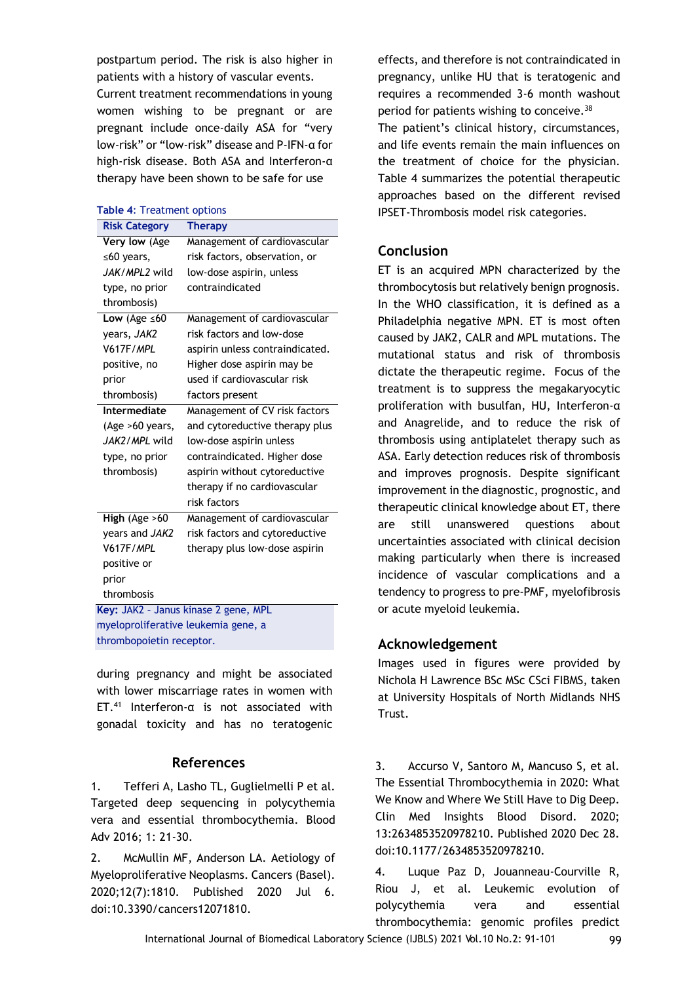postpartum period. The risk is also higher in patients with a history of vascular events.

Current treatment recommendations in young women wishing to be pregnant or are pregnant include once-daily ASA for "very low-risk" or "low-risk" disease and P-IFN-α for high-risk disease. Both ASA and Interferon-α therapy have been shown to be safe for use

# **Table 4**: Treatment options

| <b>Risk Category</b>                 | Therapy                         |  |  |  |
|--------------------------------------|---------------------------------|--|--|--|
| Very low (Age                        | Management of cardiovascular    |  |  |  |
| ≤60 years,                           | risk factors, observation, or   |  |  |  |
| JAK/MPL2 wild                        | low-dose aspirin, unless        |  |  |  |
| type, no prior                       | contraindicated                 |  |  |  |
| thrombosis)                          |                                 |  |  |  |
| Low (Age $\leq 60$                   | Management of cardiovascular    |  |  |  |
| years, JAK2                          | risk factors and low-dose       |  |  |  |
| V617F/MPL                            | aspirin unless contraindicated. |  |  |  |
| positive, no                         | Higher dose aspirin may be      |  |  |  |
| prior                                | used if cardiovascular risk     |  |  |  |
| thrombosis)                          | factors present                 |  |  |  |
| Intermediate                         | Management of CV risk factors   |  |  |  |
| (Age $>60$ years,                    | and cytoreductive therapy plus  |  |  |  |
| JAK2/MPL wild                        | low-dose aspirin unless         |  |  |  |
| type, no prior                       | contraindicated. Higher dose    |  |  |  |
| thrombosis)                          | aspirin without cytoreductive   |  |  |  |
|                                      | therapy if no cardiovascular    |  |  |  |
|                                      | risk factors                    |  |  |  |
| High (Age $>60$                      | Management of cardiovascular    |  |  |  |
| years and JAK2                       | risk factors and cytoreductive  |  |  |  |
| <b>V617F/MPL</b>                     | therapy plus low-dose aspirin   |  |  |  |
| positive or                          |                                 |  |  |  |
| prior                                |                                 |  |  |  |
| thrombosis                           |                                 |  |  |  |
| Key: JAK2 - Janus kinase 2 gene, MPL |                                 |  |  |  |
| myeloproliferative leukemia gene, a  |                                 |  |  |  |
| thrombopoietin receptor.             |                                 |  |  |  |

during pregnancy and might be associated with lower miscarriage rates in women with ET.<sup>41</sup> Interferon- $\alpha$  is not associated with gonadal toxicity and has no teratogenic

### **References**

1. Tefferi A, Lasho TL, Guglielmelli P et al. Targeted deep sequencing in polycythemia vera and essential thrombocythemia. Blood Adv 2016; 1: 21-30.

2. McMullin MF, Anderson LA. Aetiology of Myeloproliferative Neoplasms. Cancers (Basel). 2020;12(7):1810. Published 2020 Jul 6. doi:10.3390/cancers12071810.

effects, and therefore is not contraindicated in pregnancy, unlike HU that is teratogenic and requires a recommended 3-6 month washout period for patients wishing to conceive.<sup>38</sup> The patient's clinical history, circumstances, and life events remain the main influences on the treatment of choice for the physician. Table 4 summarizes the potential therapeutic approaches based on the different revised IPSET-Thrombosis model risk categories.

## **Conclusion**

ET is an acquired MPN characterized by the thrombocytosis but relatively benign prognosis. In the WHO classification, it is defined as a Philadelphia negative MPN. ET is most often caused by JAK2, CALR and MPL mutations. The mutational status and risk of thrombosis dictate the therapeutic regime. Focus of the treatment is to suppress the megakaryocytic proliferation with busulfan, HU, Interferon-α and Anagrelide, and to reduce the risk of thrombosis using antiplatelet therapy such as ASA. Early detection reduces risk of thrombosis and improves prognosis. Despite significant improvement in the diagnostic, prognostic, and therapeutic clinical knowledge about ET, there are still unanswered questions about uncertainties associated with clinical decision making particularly when there is increased incidence of vascular complications and a tendency to progress to pre-PMF, myelofibrosis or acute myeloid leukemia.

## **Acknowledgement**

Images used in figures were provided by Nichola H Lawrence BSc MSc CSci FIBMS, taken at University Hospitals of North Midlands NHS Trust.

3. Accurso V, Santoro M, Mancuso S, et al. The Essential Thrombocythemia in 2020: What We Know and Where We Still Have to Dig Deep. Clin Med Insights Blood Disord. 2020; 13:2634853520978210. Published 2020 Dec 28. doi:10.1177/2634853520978210.

4. Luque Paz D, Jouanneau-Courville R, Riou J, et al. Leukemic evolution of polycythemia vera and essential thrombocythemia: genomic profiles predict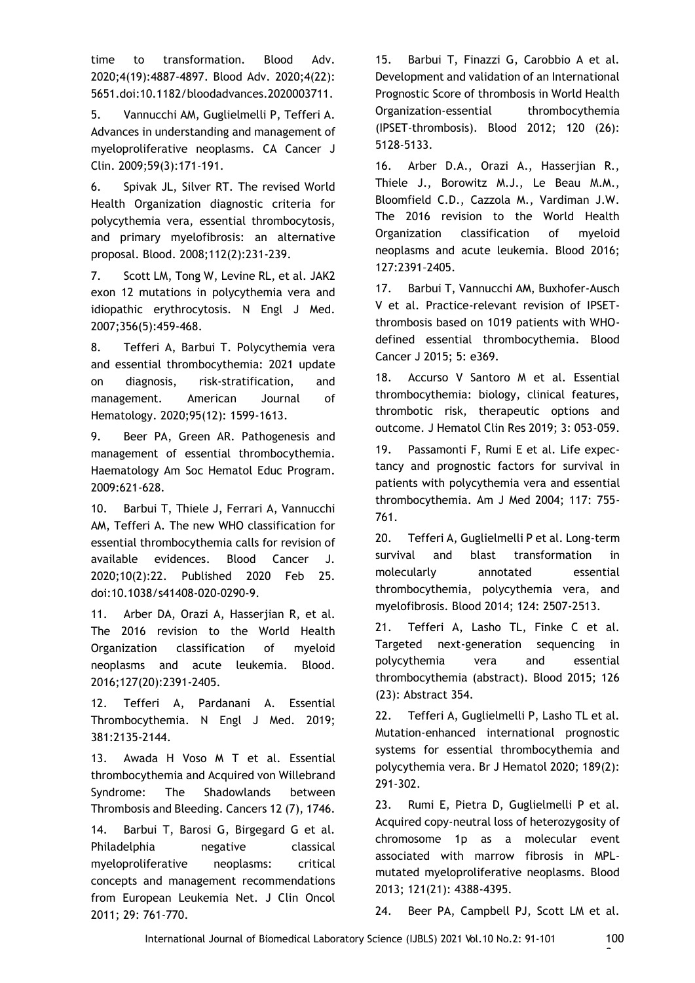time to transformation. Blood Adv. 2020;4(19):4887-4897. Blood Adv. 2020;4(22): 5651.doi:10.1182/bloodadvances.2020003711.

5. Vannucchi AM, Guglielmelli P, Tefferi A. Advances in understanding and management of myeloproliferative neoplasms. CA Cancer J Clin. 2009;59(3):171-191.

6. Spivak JL, Silver RT. The revised World Health Organization diagnostic criteria for polycythemia vera, essential thrombocytosis, and primary myelofibrosis: an alternative proposal. Blood. 2008;112(2):231-239.

7. Scott LM, Tong W, Levine RL, et al. JAK2 exon 12 mutations in polycythemia vera and idiopathic erythrocytosis. N Engl J Med. 2007;356(5):459-468.

8. Tefferi A, Barbui T. Polycythemia vera and essential thrombocythemia: 2021 update on diagnosis, risk‐stratification, and management. American Journal of Hematology. 2020;95(12): 1599-1613.

9. Beer PA, Green AR. Pathogenesis and management of essential thrombocythemia. Haematology Am Soc Hematol Educ Program. 2009:621-628.

10. Barbui T, Thiele J, Ferrari A, Vannucchi AM, Tefferi A. The new WHO classification for essential thrombocythemia calls for revision of available evidences. Blood Cancer J. 2020;10(2):22. Published 2020 Feb 25. doi:10.1038/s41408-020-0290-9.

11. Arber DA, Orazi A, Hasserjian R, et al. The 2016 revision to the World Health Organization classification of myeloid neoplasms and acute leukemia. Blood. 2016;127(20):2391-2405.

12. Tefferi A, Pardanani A. Essential Thrombocythemia. N Engl J Med. 2019; 381:2135-2144.

13. Awada H Voso M T et al. Essential thrombocythemia and Acquired von Willebrand Syndrome: The Shadowlands between Thrombosis and Bleeding. Cancers 12 (7), 1746.

14. Barbui T, Barosi G, Birgegard G et al. Philadelphia negative classical myeloproliferative neoplasms: critical concepts and management recommendations from European Leukemia Net. J Clin Oncol 2011; 29: 761-770.

15. Barbui T, Finazzi G, Carobbio A et al. Development and validation of an International Prognostic Score of thrombosis in World Health Organization-essential thrombocythemia (IPSET-thrombosis). Blood 2012; 120 (26): 5128-5133.

16. Arber D.A., Orazi A., Hasserjian R., Thiele J., Borowitz M.J., Le Beau M.M., Bloomfield C.D., Cazzola M., Vardiman J.W. The 2016 revision to the World Health Organization classification of myeloid neoplasms and acute leukemia. Blood 2016; 127:2391–2405.

17. Barbui T, Vannucchi AM, Buxhofer-Ausch V et al. Practice-relevant revision of IPSETthrombosis based on 1019 patients with WHOdefined essential thrombocythemia. Blood Cancer J 2015; 5: e369.

18. Accurso V Santoro M et al. Essential thrombocythemia: biology, clinical features, thrombotic risk, therapeutic options and outcome. J Hematol Clin Res 2019; 3: 053-059.

19. Passamonti F, Rumi E et al. Life expectancy and prognostic factors for survival in patients with polycythemia vera and essential thrombocythemia. Am J Med 2004; 117: 755- 761.

20. Tefferi A, Guglielmelli P et al. Long-term survival and blast transformation in molecularly annotated essential thrombocythemia, polycythemia vera, and myelofibrosis. Blood 2014; 124: 2507-2513.

21. Tefferi A, Lasho TL, Finke C et al. Targeted next-generation sequencing in polycythemia vera and essential thrombocythemia (abstract). Blood 2015; 126 (23): Abstract 354.

22. Tefferi A, Guglielmelli P, Lasho TL et al. Mutation-enhanced international prognostic systems for essential thrombocythemia and polycythemia vera. Br J Hematol 2020; 189(2): 291-302.

23. Rumi E, Pietra D, Guglielmelli P et al. Acquired copy-neutral loss of heterozygosity of chromosome 1p as a molecular event associated with marrow fibrosis in MPLmutated myeloproliferative neoplasms. Blood 2013; 121(21): 4388-4395.

24. Beer PA, Campbell PJ, Scott LM et al.